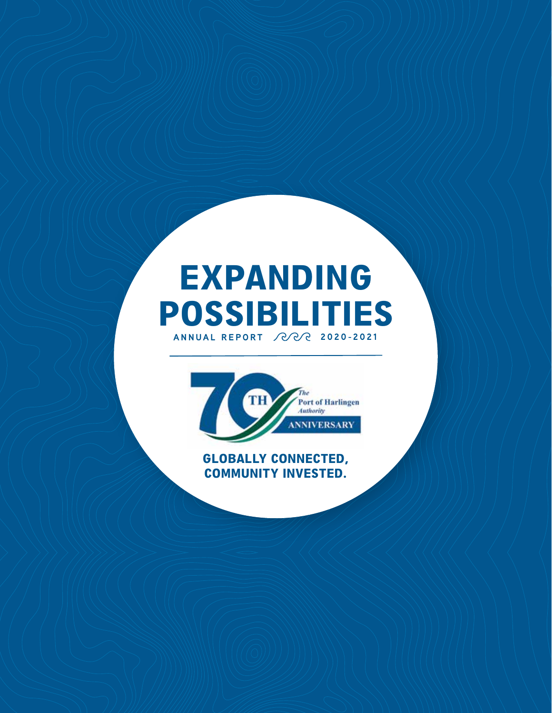# **ANNUAL REPORT 2020-2021** EXPANDING POSSIBILITIES



### GLOBALLY CONNECTED, COMMUNITY INVESTED.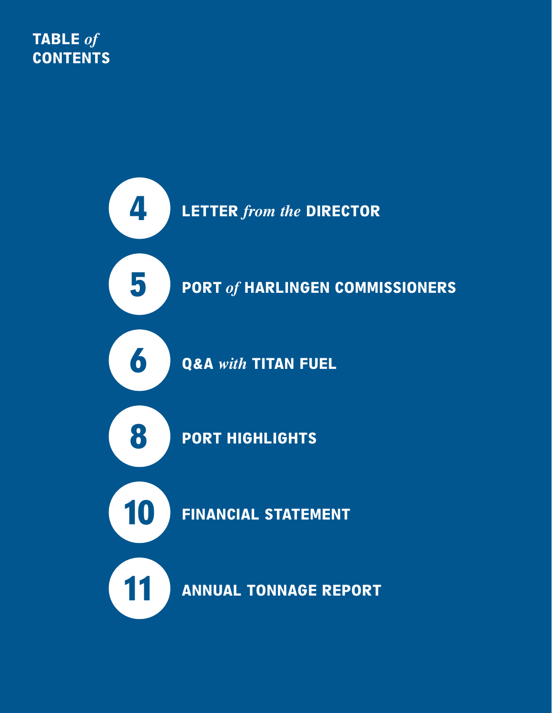# TABLE *of* **CONTENTS**

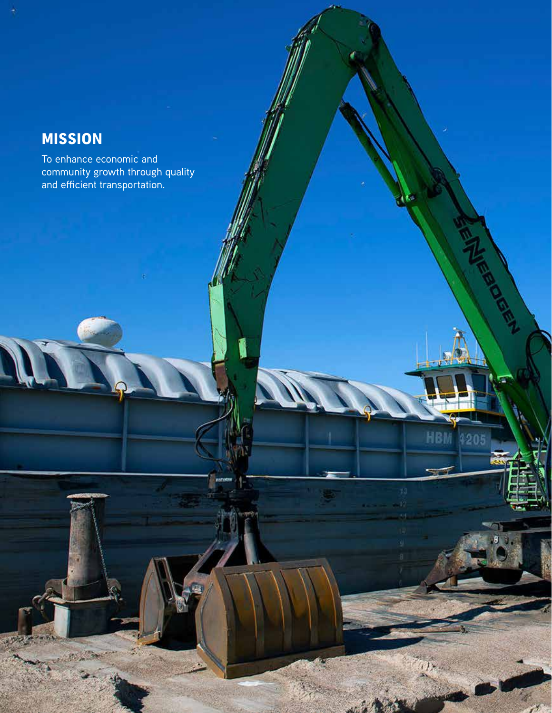# MISSION

To enhance economic and community growth through quality and efficient transportation.

**PORTOFHARLINGEN.COM 3** 

HB

205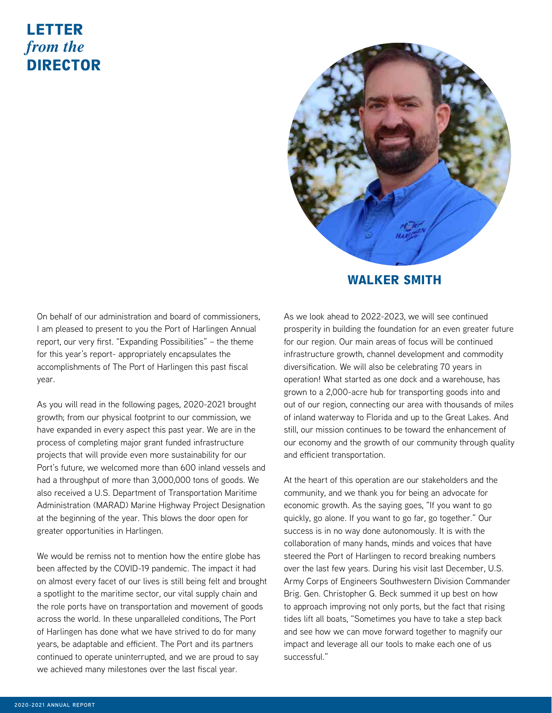### LETTER *from the* DIRECTOR



#### WALKER SMITH

On behalf of our administration and board of commissioners, I am pleased to present to you the Port of Harlingen Annual report, our very first. "Expanding Possibilities" – the theme for this year's report- appropriately encapsulates the accomplishments of The Port of Harlingen this past fiscal year.

As you will read in the following pages, 2020-2021 brought growth; from our physical footprint to our commission, we have expanded in every aspect this past year. We are in the process of completing major grant funded infrastructure projects that will provide even more sustainability for our Port's future, we welcomed more than 600 inland vessels and had a throughput of more than 3,000,000 tons of goods. We also received a U.S. Department of Transportation Maritime Administration (MARAD) Marine Highway Project Designation at the beginning of the year. This blows the door open for greater opportunities in Harlingen.

We would be remiss not to mention how the entire globe has been affected by the COVID-19 pandemic. The impact it had on almost every facet of our lives is still being felt and brought a spotlight to the maritime sector, our vital supply chain and the role ports have on transportation and movement of goods across the world. In these unparalleled conditions, The Port of Harlingen has done what we have strived to do for many years, be adaptable and efficient. The Port and its partners continued to operate uninterrupted, and we are proud to say we achieved many milestones over the last fiscal year.

As we look ahead to 2022-2023, we will see continued prosperity in building the foundation for an even greater future for our region. Our main areas of focus will be continued infrastructure growth, channel development and commodity diversification. We will also be celebrating 70 years in operation! What started as one dock and a warehouse, has grown to a 2,000-acre hub for transporting goods into and out of our region, connecting our area with thousands of miles of inland waterway to Florida and up to the Great Lakes. And still, our mission continues to be toward the enhancement of our economy and the growth of our community through quality and efficient transportation.

At the heart of this operation are our stakeholders and the community, and we thank you for being an advocate for economic growth. As the saying goes, "If you want to go quickly, go alone. If you want to go far, go together." Our success is in no way done autonomously. It is with the collaboration of many hands, minds and voices that have steered the Port of Harlingen to record breaking numbers over the last few years. During his visit last December, U.S. Army Corps of Engineers Southwestern Division Commander Brig. Gen. Christopher G. Beck summed it up best on how to approach improving not only ports, but the fact that rising tides lift all boats, "Sometimes you have to take a step back and see how we can move forward together to magnify our impact and leverage all our tools to make each one of us successful."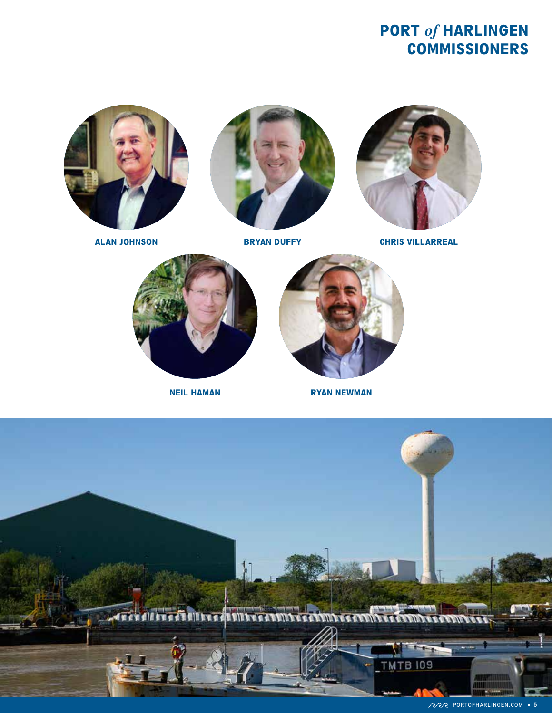# PORT *of* HARLINGEN **COMMISSIONERS**







ALAN JOHNSON BRYAN DUFFY CHRIS VILLARREAL





NEIL HAMAN RYAN NEWMAN

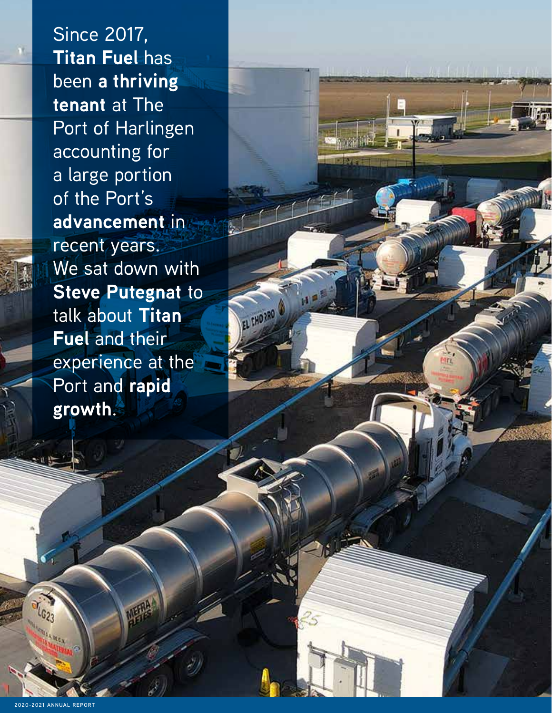Since 2017, **Titan Fuel** has been **a thriving tenant** at The Port of Harlingen accounting for a large portion of the Port's **advancement** in recent years. We sat down with **Steve Putegnat** to talk about **Titan Fuel** and their experience at the Port and **rapid growth**.

EL FHORRO

LG<sub>23</sub>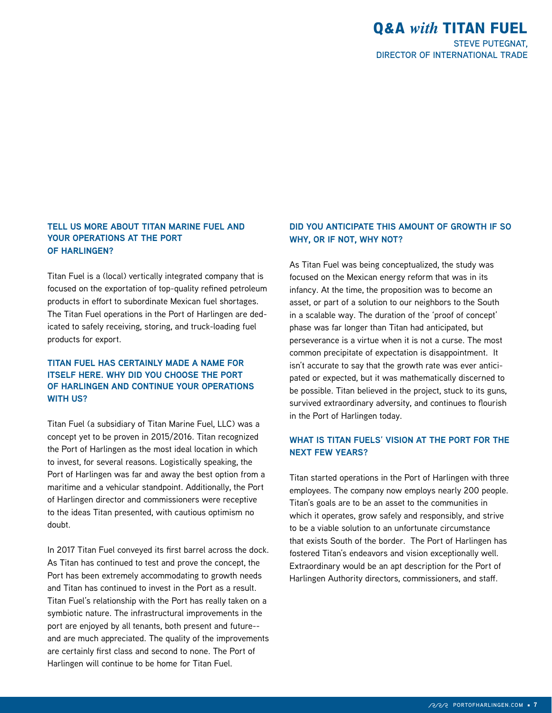#### **TELL US MORE ABOUT TITAN MARINE FUEL AND YOUR OPERATIONS AT THE PORT OF HARLINGEN?**

Titan Fuel is a (local) vertically integrated company that is focused on the exportation of top-quality refined petroleum products in effort to subordinate Mexican fuel shortages. The Titan Fuel operations in the Port of Harlingen are dedicated to safely receiving, storing, and truck-loading fuel products for export.

#### **TITAN FUEL HAS CERTAINLY MADE A NAME FOR ITSELF HERE. WHY DID YOU CHOOSE THE PORT OF HARLINGEN AND CONTINUE YOUR OPERATIONS WITH US?**

Titan Fuel (a subsidiary of Titan Marine Fuel, LLC) was a concept yet to be proven in 2015/2016. Titan recognized the Port of Harlingen as the most ideal location in which to invest, for several reasons. Logistically speaking, the Port of Harlingen was far and away the best option from a maritime and a vehicular standpoint. Additionally, the Port of Harlingen director and commissioners were receptive to the ideas Titan presented, with cautious optimism no doubt.

In 2017 Titan Fuel conveyed its first barrel across the dock. As Titan has continued to test and prove the concept, the Port has been extremely accommodating to growth needs and Titan has continued to invest in the Port as a result. Titan Fuel's relationship with the Port has really taken on a symbiotic nature. The infrastructural improvements in the port are enjoyed by all tenants, both present and future- and are much appreciated. The quality of the improvements are certainly first class and second to none. The Port of Harlingen will continue to be home for Titan Fuel.

#### **DID YOU ANTICIPATE THIS AMOUNT OF GROWTH IF SO WHY, OR IF NOT, WHY NOT?**

As Titan Fuel was being conceptualized, the study was focused on the Mexican energy reform that was in its infancy. At the time, the proposition was to become an asset, or part of a solution to our neighbors to the South in a scalable way. The duration of the 'proof of concept' phase was far longer than Titan had anticipated, but perseverance is a virtue when it is not a curse. The most common precipitate of expectation is disappointment. It isn't accurate to say that the growth rate was ever anticipated or expected, but it was mathematically discerned to be possible. Titan believed in the project, stuck to its guns, survived extraordinary adversity, and continues to flourish in the Port of Harlingen today.

#### **WHAT IS TITAN FUELS' VISION AT THE PORT FOR THE NEXT FEW YEARS?**

Titan started operations in the Port of Harlingen with three employees. The company now employs nearly 200 people. Titan's goals are to be an asset to the communities in which it operates, grow safely and responsibly, and strive to be a viable solution to an unfortunate circumstance that exists South of the border. The Port of Harlingen has fostered Titan's endeavors and vision exceptionally well. Extraordinary would be an apt description for the Port of Harlingen Authority directors, commissioners, and staff.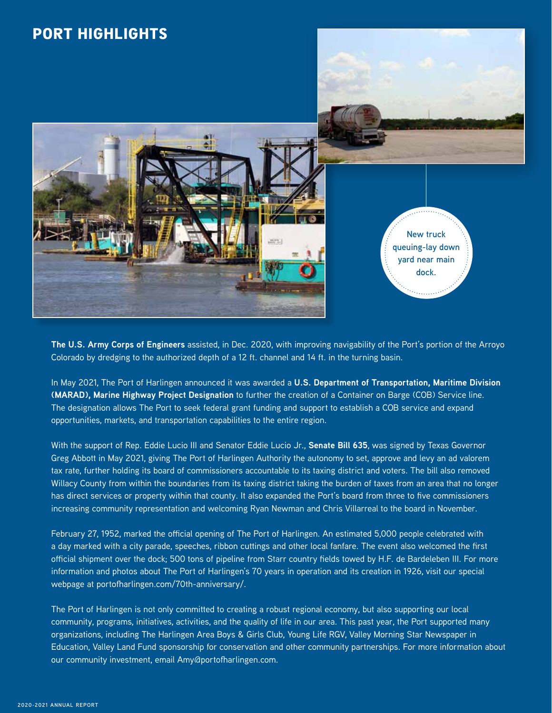

**The U.S. Army Corps of Engineers** assisted, in Dec. 2020, with improving navigability of the Port's portion of the Arroyo Colorado by dredging to the authorized depth of a 12 ft. channel and 14 ft. in the turning basin.

In May 2021, The Port of Harlingen announced it was awarded a **U.S. Department of Transportation, Maritime Division (MARAD), Marine Highway Project Designation** to further the creation of a Container on Barge (COB) Service line. The designation allows The Port to seek federal grant funding and support to establish a COB service and expand opportunities, markets, and transportation capabilities to the entire region.

With the support of Rep. Eddie Lucio III and Senator Eddie Lucio Jr., **Senate Bill 635**, was signed by Texas Governor Greg Abbott in May 2021, giving The Port of Harlingen Authority the autonomy to set, approve and levy an ad valorem tax rate, further holding its board of commissioners accountable to its taxing district and voters. The bill also removed Willacy County from within the boundaries from its taxing district taking the burden of taxes from an area that no longer has direct services or property within that county. It also expanded the Port's board from three to five commissioners increasing community representation and welcoming Ryan Newman and Chris Villarreal to the board in November.

February 27, 1952, marked the official opening of The Port of Harlingen. An estimated 5,000 people celebrated with a day marked with a city parade, speeches, ribbon cuttings and other local fanfare. The event also welcomed the first official shipment over the dock; 500 tons of pipeline from Starr country fields towed by H.F. de Bardeleben III. For more information and photos about The Port of Harlingen's 70 years in operation and its creation in 1926, visit our special webpage at portofharlingen.com/70th-anniversary/.

The Port of Harlingen is not only committed to creating a robust regional economy, but also supporting our local community, programs, initiatives, activities, and the quality of life in our area. This past year, the Port supported many organizations, including The Harlingen Area Boys & Girls Club, Young Life RGV, Valley Morning Star Newspaper in Education, Valley Land Fund sponsorship for conservation and other community partnerships. For more information about our community investment, email Amy@portofharlingen.com.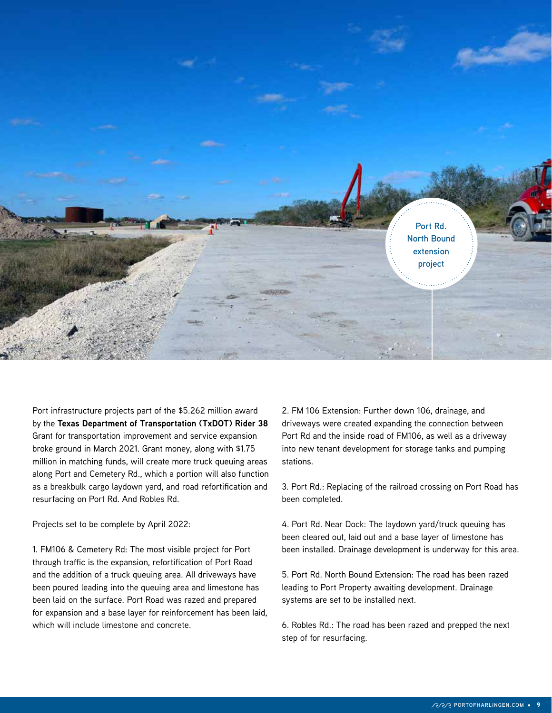

Port infrastructure projects part of the \$5.262 million award by the **Texas Department of Transportation (TxDOT) Rider 38** Grant for transportation improvement and service expansion broke ground in March 2021. Grant money, along with \$1.75 million in matching funds, will create more truck queuing areas along Port and Cemetery Rd., which a portion will also function as a breakbulk cargo laydown yard, and road refortification and resurfacing on Port Rd. And Robles Rd.

Projects set to be complete by April 2022:

1. FM106 & Cemetery Rd: The most visible project for Port through traffic is the expansion, refortification of Port Road and the addition of a truck queuing area. All driveways have been poured leading into the queuing area and limestone has been laid on the surface. Port Road was razed and prepared for expansion and a base layer for reinforcement has been laid, which will include limestone and concrete.

2. FM 106 Extension: Further down 106, drainage, and driveways were created expanding the connection between Port Rd and the inside road of FM106, as well as a driveway into new tenant development for storage tanks and pumping stations.

3. Port Rd.: Replacing of the railroad crossing on Port Road has been completed.

4. Port Rd. Near Dock: The laydown yard/truck queuing has been cleared out, laid out and a base layer of limestone has been installed. Drainage development is underway for this area.

5. Port Rd. North Bound Extension: The road has been razed leading to Port Property awaiting development. Drainage systems are set to be installed next.

6. Robles Rd.: The road has been razed and prepped the next step of for resurfacing.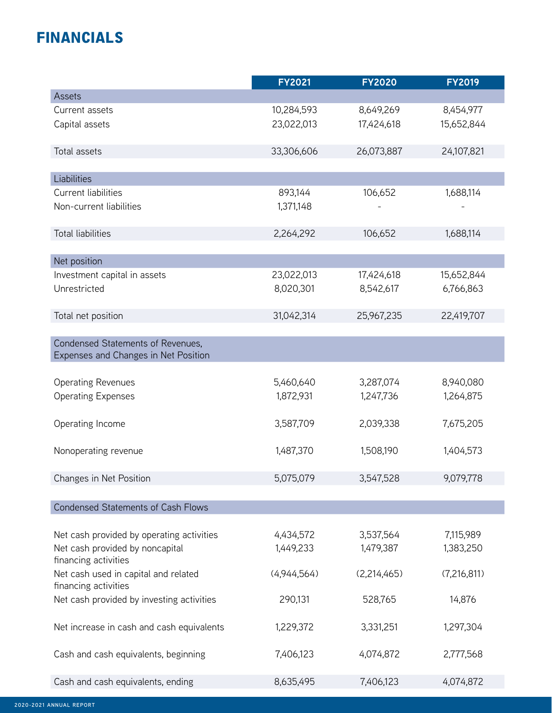# FINANCIALS

|                                           | <b>FY2021</b> | <b>FY2020</b> | <b>FY2019</b> |
|-------------------------------------------|---------------|---------------|---------------|
| Assets                                    |               |               |               |
| Current assets                            | 10,284,593    | 8,649,269     | 8,454,977     |
| Capital assets                            | 23,022,013    | 17,424,618    | 15,652,844    |
| Total assets                              | 33,306,606    | 26,073,887    | 24,107,821    |
| Liabilities                               |               |               |               |
| Current liabilities                       | 893,144       | 106,652       | 1,688,114     |
| Non-current liabilities                   | 1,371,148     |               |               |
|                                           |               |               |               |
| <b>Total liabilities</b>                  | 2,264,292     | 106,652       | 1,688,114     |
| Net position                              |               |               |               |
| Investment capital in assets              | 23,022,013    | 17,424,618    | 15,652,844    |
| Unrestricted                              | 8,020,301     | 8,542,617     | 6,766,863     |
|                                           |               |               |               |
| Total net position                        | 31,042,314    | 25,967,235    | 22,419,707    |
| Condensed Statements of Revenues,         |               |               |               |
| Expenses and Changes in Net Position      |               |               |               |
|                                           |               |               |               |
| <b>Operating Revenues</b>                 | 5,460,640     | 3,287,074     | 8,940,080     |
| <b>Operating Expenses</b>                 | 1,872,931     | 1,247,736     | 1,264,875     |
| Operating Income                          | 3,587,709     | 2,039,338     | 7,675,205     |
| Nonoperating revenue                      | 1,487,370     | 1,508,190     | 1,404,573     |
|                                           |               |               |               |
| Changes in Net Position                   | 5,075,079     | 3,547,528     | 9,079,778     |
|                                           |               |               |               |
| <b>Condensed Statements of Cash Flows</b> |               |               |               |
| Net cash provided by operating activities | 4,434,572     | 3,537,564     | 7,115,989     |
| Net cash provided by noncapital           | 1,449,233     | 1,479,387     | 1,383,250     |
| financing activities                      |               |               |               |
| Net cash used in capital and related      | (4,944,564)   | (2,214,465)   | (7,216,811)   |
| financing activities                      |               |               |               |
| Net cash provided by investing activities | 290,131       | 528,765       | 14,876        |
| Net increase in cash and cash equivalents | 1,229,372     | 3,331,251     | 1,297,304     |
| Cash and cash equivalents, beginning      | 7,406,123     | 4,074,872     | 2,777,568     |
| Cash and cash equivalents, ending         | 8,635,495     | 7,406,123     | 4,074,872     |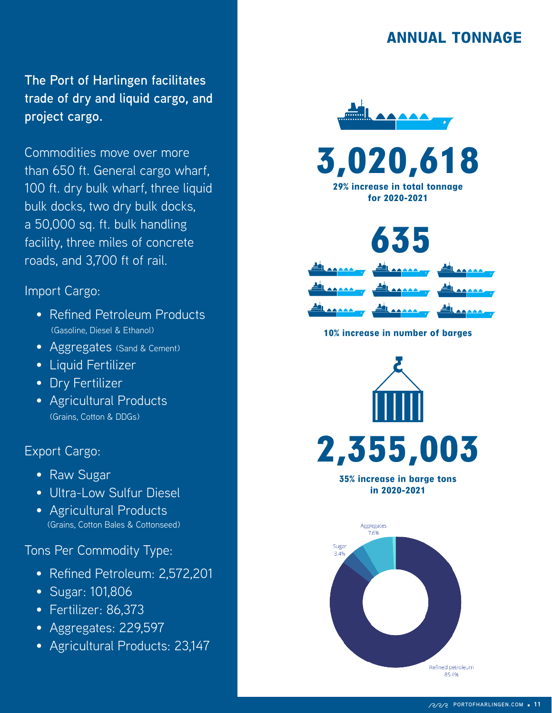### ANNUAL TONNAGE

**The Port of Harlingen facilitates trade of dry and liquid cargo, and project cargo.** 

Commodities move over more than 650 ft. General cargo wharf, 100 ft. dry bulk wharf, three liquid bulk docks, two dry bulk docks, a 50,000 sq. ft. bulk handling facility, three miles of concrete roads, and 3,700 ft of rail.

### Import Cargo:

- Refined Petroleum Products (Gasoline, Diesel & Ethanol)
- Aggregates (Sand & Cement)
- Liquid Fertilizer
- Dry Fertilizer
- Agricultural Products (Grains, Cotton & DDGs)

### Export Cargo:

- Raw Sugar
- Ultra-Low Sulfur Diesel
- Agricultural Products (Grains, Cotton Bales & Cottonseed)

Tons Per Commodity Type:

- Refined Petroleum: 2,572,201
- Sugar: 101,806
- Fertilizer: 86,373
- Aggregates: 229,597
- Agricultural Products: 23,147





29% increase in total tonnage for 2020-2021



10% increase in number of baraes